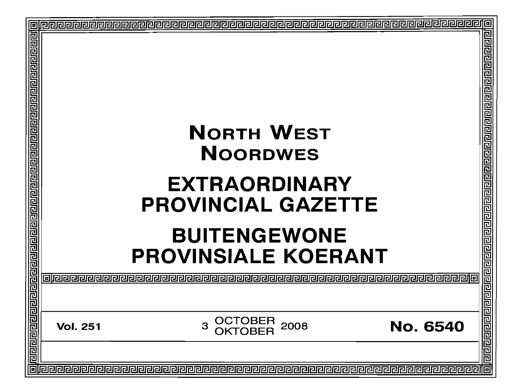| ⊡                                                       |                                                                       | 回                                                                       |
|---------------------------------------------------------|-----------------------------------------------------------------------|-------------------------------------------------------------------------|
|                                                         |                                                                       | 回回回回                                                                    |
| <u>गगगगगगगगगगगगगगग</u>                                  |                                                                       | ₫                                                                       |
|                                                         |                                                                       | Ē                                                                       |
|                                                         |                                                                       | 민민민민민                                                                   |
|                                                         |                                                                       |                                                                         |
|                                                         | <b>NORTH WEST</b>                                                     | 闾                                                                       |
|                                                         | <b>NOORDWES</b>                                                       |                                                                         |
|                                                         | <b>EXTRAORDINARY</b>                                                  |                                                                         |
|                                                         |                                                                       |                                                                         |
|                                                         | <b>PROVINCIAL GAZETTE</b>                                             |                                                                         |
|                                                         |                                                                       |                                                                         |
|                                                         |                                                                       |                                                                         |
|                                                         | <b>BUITENGEWONE</b>                                                   |                                                                         |
|                                                         | <b>PROVINSIALE KOERANT</b>                                            |                                                                         |
|                                                         |                                                                       |                                                                         |
|                                                         |                                                                       |                                                                         |
|                                                         | OCTOBER<br>OKTOBER<br>3<br>2008<br><b>No. 6540</b><br><b>Vol. 251</b> |                                                                         |
|                                                         |                                                                       |                                                                         |
| <u>laaalaaalaa minaalaaalaaalaa minaalaaalaa a</u><br>同 |                                                                       | <u>बागवान पारा जान पारा जान का जान का जान जान का जान का बाग पा</u><br>扃 |
|                                                         |                                                                       |                                                                         |
|                                                         |                                                                       |                                                                         |
|                                                         |                                                                       |                                                                         |
|                                                         |                                                                       |                                                                         |
|                                                         |                                                                       |                                                                         |
|                                                         |                                                                       |                                                                         |
|                                                         |                                                                       |                                                                         |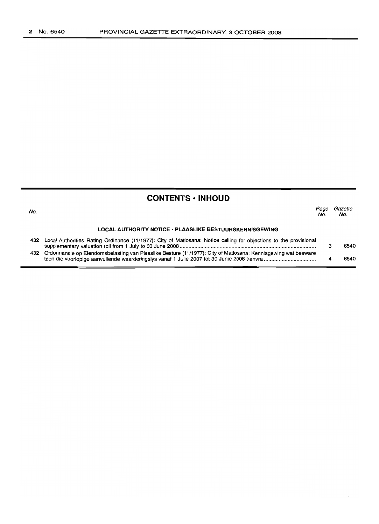# **CONTENTS • INHOUD**

| No. |                                                                                                                       | Page<br>No. | Gazette<br>No. |
|-----|-----------------------------------------------------------------------------------------------------------------------|-------------|----------------|
|     | <b>LOCAL AUTHORITY NOTICE • PLAASLIKE BESTUURSKENNISGEWING</b>                                                        |             |                |
|     | 432 Local Authorities Rating Ordinance (11/1977): City of Matlosana: Notice calling for objections to the provisional |             | 6540           |
|     | 432 Ordonnansie op Eiendomsbelasting van Plaaslike Besture (11/1977): City of Matlosana: Kennisgewing wat besware     |             | 6540           |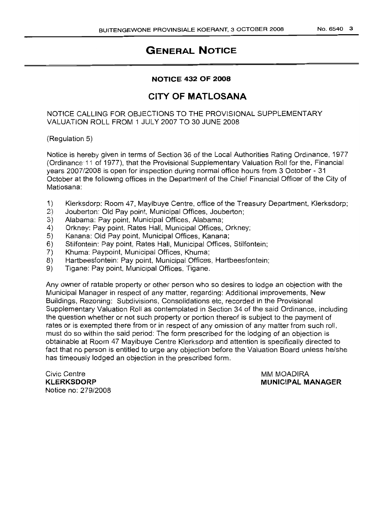### **NOTICE 432 OF 2008**

## **CITY OF MATLOSANA**

#### NOTICE CALLING FOR OBJECTIONS TO THE PROVISIONAL SUPPLEMENTARY VALUATION ROLL FROM 1 JULY 2007 TO 30 JUNE 2008

(Regulation 5)

Notice is hereby given in terms of Section 36 of the Local Authorities Rating Ordinance, 1977 (Ordinance 11 of 1977), that the Provisional Supplementary Valuation Roll for the, Financial years 2007/2008 is open for inspection during normal office hours from 3 October - 31 October at the following offices in the Department of the Chief Financial Officer of the City of Matlosana:

- 1) Klerksdorp: Room 47, Mayibuye Centre, office of the Treasury Department, Klerksdorp;
- 2) Jouberton: Old Pay point, Municipal Offices, Jouberton;
- 3) Alabama: Pay point, Municipal Offices, Alabama;
- 4) Orkney: Pay point, Rates Hall, Municipal Offices, Orkney;
- 5) Kanana: Old Pay point, Municipal Offices, Kanana;
- 6) Stilfontein: Pay point, Rates Hall, Municipal Offices, Stilfontein;
- 7) Khuma: Paypoint, Municipal Offices, Khuma;
- 8) Hartbeesfontein: Pay point, Municipal Offices, Hartbeesfontein;
- 9) Tigane: Pay point, Municipal Offices, Tigane.

Any owner of ratable property or other person who so desires to lodge an objection with the Municipal Manager in respect of any matter, regarding: Additional improvements, New Buildings, Rezoning: Subdivisions, Consolidations etc, recorded in the Provisional Supplementary Valuation Roll as contemplated in Section 34 of the said Ordinance, including the question whether or not such property or portion thereof is subject to the payment of rates or is exempted there from or in respect of any omission of any matter from such roll, must do so within the said period: The form prescribed for the lodging of an objection is obtainable at Room 47 Mayibuye Centre Klerksdorp and attention is specifically directed to fact that no person is entitled to urge any objection before the Valuation Board unless he/she has timeously lodged an objection in the prescribed form.

Civic Centre **KLERKSDORP** Notice no: 279/2008 MM MOADIRA **MUNICIPAL MANAGER**